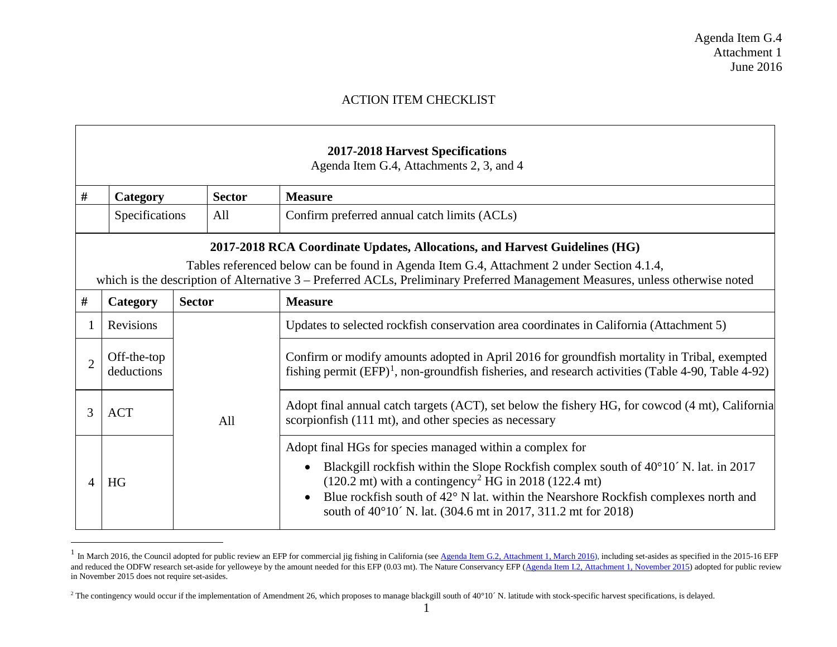## <span id="page-0-1"></span><span id="page-0-0"></span>ACTION ITEM CHECKLIST

|                | <b>2017-2018 Harvest Specifications</b><br>Agenda Item G.4, Attachments 2, 3, and 4                                                                                      |               |                                                                                                                                                                                                                                                                                                                                                                                        |  |
|----------------|--------------------------------------------------------------------------------------------------------------------------------------------------------------------------|---------------|----------------------------------------------------------------------------------------------------------------------------------------------------------------------------------------------------------------------------------------------------------------------------------------------------------------------------------------------------------------------------------------|--|
| #              | Category                                                                                                                                                                 | <b>Sector</b> | <b>Measure</b>                                                                                                                                                                                                                                                                                                                                                                         |  |
|                | Specifications                                                                                                                                                           | All           | Confirm preferred annual catch limits (ACLs)                                                                                                                                                                                                                                                                                                                                           |  |
|                | 2017-2018 RCA Coordinate Updates, Allocations, and Harvest Guidelines (HG)<br>Tables referenced below can be found in Agenda Item G.4, Attachment 2 under Section 4.1.4, |               |                                                                                                                                                                                                                                                                                                                                                                                        |  |
|                |                                                                                                                                                                          |               | which is the description of Alternative 3 – Preferred ACLs, Preliminary Preferred Management Measures, unless otherwise noted                                                                                                                                                                                                                                                          |  |
| #              | Category                                                                                                                                                                 | <b>Sector</b> | <b>Measure</b>                                                                                                                                                                                                                                                                                                                                                                         |  |
|                | <b>Revisions</b>                                                                                                                                                         | All           | Updates to selected rockfish conservation area coordinates in California (Attachment 5)                                                                                                                                                                                                                                                                                                |  |
| $\overline{2}$ | Off-the-top<br>deductions                                                                                                                                                |               | Confirm or modify amounts adopted in April 2016 for groundfish mortality in Tribal, exempted<br>fishing permit $(EFP)^1$ , non-groundfish fisheries, and research activities (Table 4-90, Table 4-92)                                                                                                                                                                                  |  |
| 3              | <b>ACT</b>                                                                                                                                                               |               | Adopt final annual catch targets (ACT), set below the fishery HG, for cowcod (4 mt), California<br>scorpionfish (111 mt), and other species as necessary                                                                                                                                                                                                                               |  |
| $\Delta$       | HG                                                                                                                                                                       |               | Adopt final HGs for species managed within a complex for<br>Blackgill rockfish within the Slope Rockfish complex south of 40°10′ N. lat. in 2017<br>$(120.2 \text{ mt})$ with a contingency <sup>2</sup> HG in 2018 (122.4 mt)<br>Blue rockfish south of 42° N lat. within the Nearshore Rockfish complexes north and<br>south of 40°10′ N. lat. (304.6 mt in 2017, 311.2 mt for 2018) |  |

<sup>&</sup>lt;sup>1</sup> In March 2016, the Council adopted for public review an EFP for commercial jig fishing in California (see [Agenda Item G.2, Attachment 1, March 2016\)](http://www.pcouncil.org/wp-content/uploads/2016/02/G2_Att1_EFP-Proposal_Emley_MAR2016BB.pdf), including set-asides as specified in the 2015-16 EFP and reduced the ODFW research set-aside for yelloweye by the amount needed for this EFP (0.03 mt). The Nature Conservancy EFP [\(Agenda Item I.2, Attachment 1, November 2015\)](http://www.pcouncil.org/wp-content/uploads/2015/10/I2_Att1_EFP_TNC_GearInnovation_20172018_Nov2015BB.pdf) adopted for public review in November 2015 does not require set-asides.

<sup>&</sup>lt;sup>2</sup> The contingency would occur if the implementation of Amendment 26, which proposes to manage blackgill south of 40°10´ N. latitude with stock-specific harvest specifications, is delayed.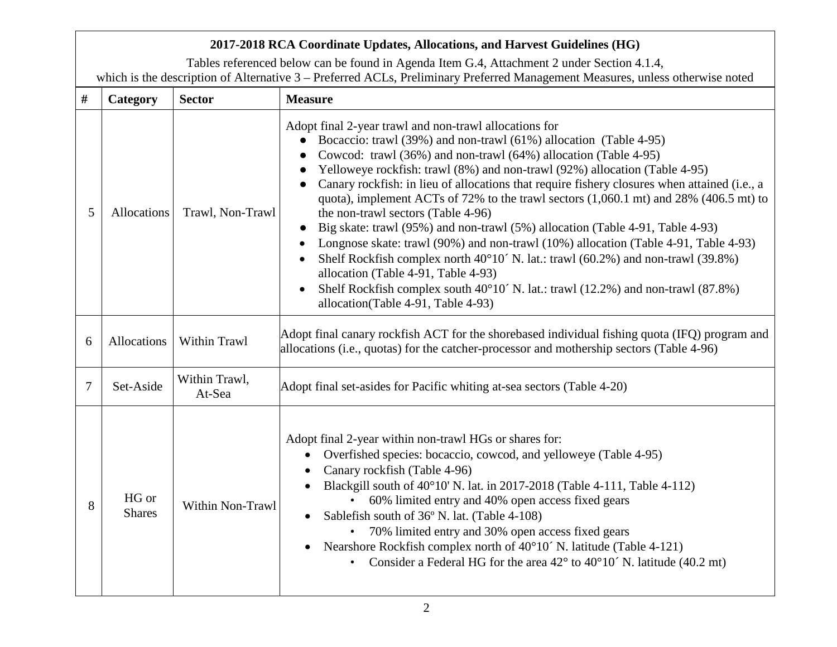## **2017-2018 RCA Coordinate Updates, Allocations, and Harvest Guidelines (HG)**

Tables referenced below can be found in Agenda Item G.4, Attachment 2 under Section 4.1.4, which is the description of Alternative 3 – Preferred ACLs, Preliminary Preferred Management Measures, unless otherwise noted

| $\#$ | Category               | <b>Sector</b>           | <b>Measure</b>                                                                                                                                                                                                                                                                                                                                                                                                                                                                                                                                                                                                                                                                                                                                                                                                                                                                                                                                             |
|------|------------------------|-------------------------|------------------------------------------------------------------------------------------------------------------------------------------------------------------------------------------------------------------------------------------------------------------------------------------------------------------------------------------------------------------------------------------------------------------------------------------------------------------------------------------------------------------------------------------------------------------------------------------------------------------------------------------------------------------------------------------------------------------------------------------------------------------------------------------------------------------------------------------------------------------------------------------------------------------------------------------------------------|
| 5    | Allocations            | Trawl, Non-Trawl        | Adopt final 2-year trawl and non-trawl allocations for<br>Bocaccio: trawl (39%) and non-trawl (61%) allocation (Table 4-95)<br>Cowcod: trawl (36%) and non-trawl (64%) allocation (Table 4-95)<br>Yelloweye rockfish: trawl (8%) and non-trawl (92%) allocation (Table 4-95)<br>Canary rockfish: in lieu of allocations that require fishery closures when attained (i.e., a<br>quota), implement ACTs of 72% to the trawl sectors (1,060.1 mt) and 28% (406.5 mt) to<br>the non-trawl sectors (Table 4-96)<br>Big skate: trawl (95%) and non-trawl (5%) allocation (Table 4-91, Table 4-93)<br>Longnose skate: trawl (90%) and non-trawl (10%) allocation (Table 4-91, Table 4-93)<br>Shelf Rockfish complex north $40^{\circ}10'$ N. lat.: trawl (60.2%) and non-trawl (39.8%)<br>allocation (Table 4-91, Table 4-93)<br>Shelf Rockfish complex south $40^{\circ}10'$ N. lat.: trawl (12.2%) and non-trawl (87.8%)<br>allocation(Table 4-91, Table 4-93) |
| 6    | Allocations            | <b>Within Trawl</b>     | Adopt final canary rockfish ACT for the shorebased individual fishing quota (IFQ) program and<br>allocations (i.e., quotas) for the catcher-processor and mothership sectors (Table 4-96)                                                                                                                                                                                                                                                                                                                                                                                                                                                                                                                                                                                                                                                                                                                                                                  |
| 7    | Set-Aside              | Within Trawl,<br>At-Sea | Adopt final set-asides for Pacific whiting at-sea sectors (Table 4-20)                                                                                                                                                                                                                                                                                                                                                                                                                                                                                                                                                                                                                                                                                                                                                                                                                                                                                     |
| 8    | HG or<br><b>Shares</b> | <b>Within Non-Trawl</b> | Adopt final 2-year within non-trawl HGs or shares for:<br>Overfished species: bocaccio, cowcod, and yelloweye (Table 4-95)<br>$\bullet$<br>Canary rockfish (Table 4-96)<br>Blackgill south of 40°10' N. lat. in 2017-2018 (Table 4-111, Table 4-112)<br>60% limited entry and 40% open access fixed gears<br>Sablefish south of 36° N. lat. (Table 4-108)<br>$\bullet$<br>70% limited entry and 30% open access fixed gears<br>Nearshore Rockfish complex north of 40°10′ N. latitude (Table 4-121)<br>$\bullet$<br>Consider a Federal HG for the area $42^{\circ}$ to $40^{\circ}10'$ N. latitude (40.2 mt)<br>$\bullet$                                                                                                                                                                                                                                                                                                                                  |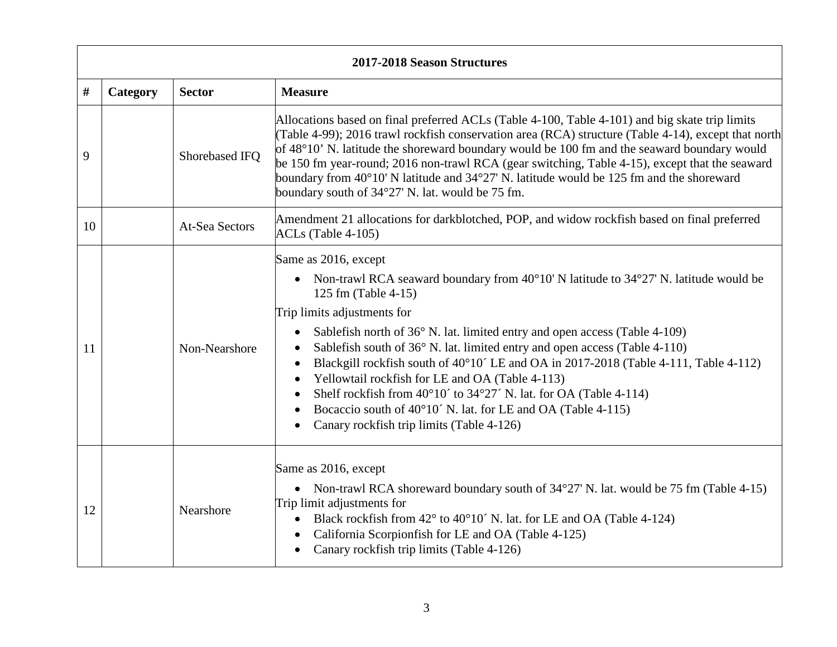|    | 2017-2018 Season Structures |                       |                                                                                                                                                                                                                                                                                                                                                                                                                                                                                                                                                                                                                                                                                                                                                                                                         |  |
|----|-----------------------------|-----------------------|---------------------------------------------------------------------------------------------------------------------------------------------------------------------------------------------------------------------------------------------------------------------------------------------------------------------------------------------------------------------------------------------------------------------------------------------------------------------------------------------------------------------------------------------------------------------------------------------------------------------------------------------------------------------------------------------------------------------------------------------------------------------------------------------------------|--|
| #  | Category                    | <b>Sector</b>         | <b>Measure</b>                                                                                                                                                                                                                                                                                                                                                                                                                                                                                                                                                                                                                                                                                                                                                                                          |  |
| 9  |                             | Shorebased IFQ        | Allocations based on final preferred ACLs (Table 4-100, Table 4-101) and big skate trip limits<br>(Table 4-99); 2016 trawl rockfish conservation area (RCA) structure (Table 4-14), except that north<br>of 48°10' N. latitude the shoreward boundary would be 100 fm and the seaward boundary would<br>be 150 fm year-round; 2016 non-trawl RCA (gear switching, Table 4-15), except that the seaward<br>boundary from $40^{\circ}10'$ N latitude and $34^{\circ}27'$ N. latitude would be 125 fm and the shoreward<br>boundary south of 34°27' N. lat. would be 75 fm.                                                                                                                                                                                                                                |  |
| 10 |                             | <b>At-Sea Sectors</b> | Amendment 21 allocations for darkblotched, POP, and widow rockfish based on final preferred<br>$ACLs$ (Table 4-105)                                                                                                                                                                                                                                                                                                                                                                                                                                                                                                                                                                                                                                                                                     |  |
| 11 |                             | Non-Nearshore         | Same as 2016, except<br>Non-trawl RCA seaward boundary from $40^{\circ}10'$ N latitude to $34^{\circ}27'$ N. latitude would be<br>$\bullet$<br>125 fm (Table 4-15)<br>Trip limits adjustments for<br>Sablefish north of 36° N. lat. limited entry and open access (Table 4-109)<br>$\bullet$<br>Sablefish south of 36° N. lat. limited entry and open access (Table 4-110)<br>$\bullet$<br>Blackgill rockfish south of 40°10′ LE and OA in 2017-2018 (Table 4-111, Table 4-112)<br>$\bullet$<br>Yellowtail rockfish for LE and OA (Table 4-113)<br>$\bullet$<br>Shelf rockfish from $40^{\circ}10'$ to $34^{\circ}27'$ N. lat. for OA (Table 4-114)<br>$\bullet$<br>Bocaccio south of 40°10′ N. lat. for LE and OA (Table 4-115)<br>$\bullet$<br>Canary rockfish trip limits (Table 4-126)<br>$\bullet$ |  |
| 12 |                             | Nearshore             | Same as 2016, except<br>• Non-trawl RCA shoreward boundary south of $34^{\circ}27'$ N. lat. would be 75 fm (Table 4-15)<br>Trip limit adjustments for<br>Black rockfish from 42° to 40°10′ N. lat. for LE and OA (Table 4-124)<br>$\bullet$<br>California Scorpionfish for LE and OA (Table 4-125)<br>$\bullet$<br>Canary rockfish trip limits (Table 4-126)<br>$\bullet$                                                                                                                                                                                                                                                                                                                                                                                                                               |  |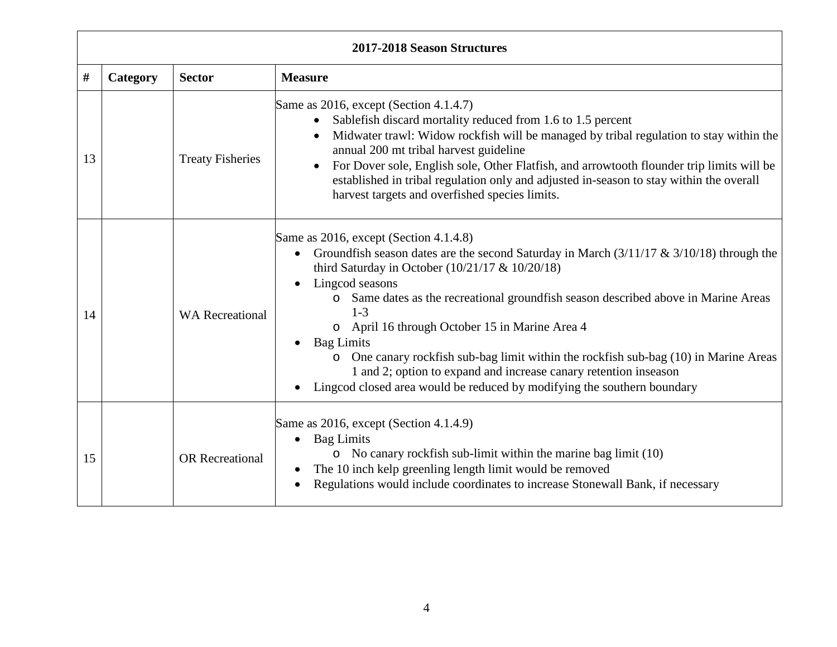| 2017-2018 Season Structures |          |                         |                                                                                                                                                                                                                                                                                                                                                                                                                                                                                                                                                                                                                                                                  |
|-----------------------------|----------|-------------------------|------------------------------------------------------------------------------------------------------------------------------------------------------------------------------------------------------------------------------------------------------------------------------------------------------------------------------------------------------------------------------------------------------------------------------------------------------------------------------------------------------------------------------------------------------------------------------------------------------------------------------------------------------------------|
| $\#$                        | Category | <b>Sector</b>           | <b>Measure</b>                                                                                                                                                                                                                                                                                                                                                                                                                                                                                                                                                                                                                                                   |
| 13                          |          | <b>Treaty Fisheries</b> | Same as 2016, except (Section 4.1.4.7)<br>Sablefish discard mortality reduced from 1.6 to 1.5 percent<br>$\bullet$<br>Midwater trawl: Widow rockfish will be managed by tribal regulation to stay within the<br>$\bullet$<br>annual 200 mt tribal harvest guideline<br>For Dover sole, English sole, Other Flatfish, and arrowtooth flounder trip limits will be<br>established in tribal regulation only and adjusted in-season to stay within the overall<br>harvest targets and overfished species limits.                                                                                                                                                    |
| 14                          |          | <b>WA Recreational</b>  | Same as 2016, except (Section 4.1.4.8)<br>Groundfish season dates are the second Saturday in March $(3/11/17 \& 3/10/18)$ through the<br>$\bullet$<br>third Saturday in October $(10/21/17 \& 10/20/18)$<br>Lingcod seasons<br>$\bullet$<br>Same dates as the recreational groundfish season described above in Marine Areas<br>$\circ$<br>$1 - 3$<br>o April 16 through October 15 in Marine Area 4<br><b>Bag Limits</b><br>o One canary rockfish sub-bag limit within the rockfish sub-bag (10) in Marine Areas<br>1 and 2; option to expand and increase canary retention inseason<br>Lingcod closed area would be reduced by modifying the southern boundary |
| 15                          |          | <b>OR</b> Recreational  | Same as 2016, except (Section 4.1.4.9)<br><b>Bag Limits</b><br>$\bullet$<br>$\circ$ No canary rockfish sub-limit within the marine bag limit (10)<br>The 10 inch kelp greenling length limit would be removed<br>Regulations would include coordinates to increase Stonewall Bank, if necessary                                                                                                                                                                                                                                                                                                                                                                  |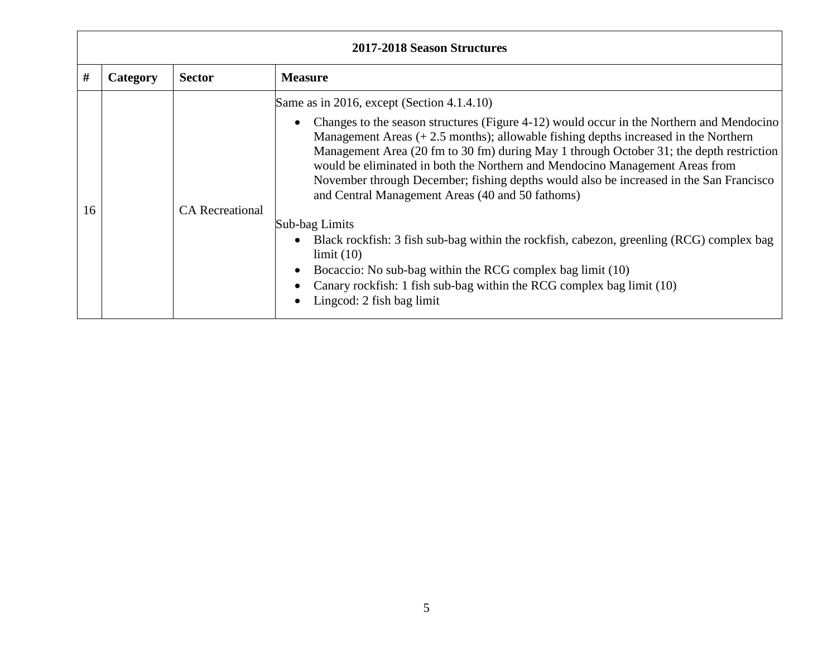| 2017-2018 Season Structures |          |                        |                                                                                                                                                                                                                                                                                                                                                                                                                                                                                                                                                                                                                                                                                                                                                                                                                                                                                                                                   |
|-----------------------------|----------|------------------------|-----------------------------------------------------------------------------------------------------------------------------------------------------------------------------------------------------------------------------------------------------------------------------------------------------------------------------------------------------------------------------------------------------------------------------------------------------------------------------------------------------------------------------------------------------------------------------------------------------------------------------------------------------------------------------------------------------------------------------------------------------------------------------------------------------------------------------------------------------------------------------------------------------------------------------------|
| #                           | Category | <b>Sector</b>          | <b>Measure</b>                                                                                                                                                                                                                                                                                                                                                                                                                                                                                                                                                                                                                                                                                                                                                                                                                                                                                                                    |
| 16                          |          | <b>CA</b> Recreational | Same as in 2016, except (Section 4.1.4.10)<br>Changes to the season structures (Figure 4-12) would occur in the Northern and Mendocino<br>$\bullet$<br>Management Areas $(+ 2.5 \text{ months})$ ; allowable fishing depths increased in the Northern<br>Management Area (20 fm to 30 fm) during May 1 through October 31; the depth restriction<br>would be eliminated in both the Northern and Mendocino Management Areas from<br>November through December; fishing depths would also be increased in the San Francisco<br>and Central Management Areas (40 and 50 fathoms)<br>Sub-bag Limits<br>Black rockfish: 3 fish sub-bag within the rockfish, cabezon, greenling (RCG) complex bag<br>$\bullet$<br>limit(10)<br>Bocaccio: No sub-bag within the RCG complex bag limit (10)<br>$\bullet$<br>Canary rockfish: 1 fish sub-bag within the RCG complex bag limit (10)<br>$\bullet$<br>Lingcod: 2 fish bag limit<br>$\bullet$ |